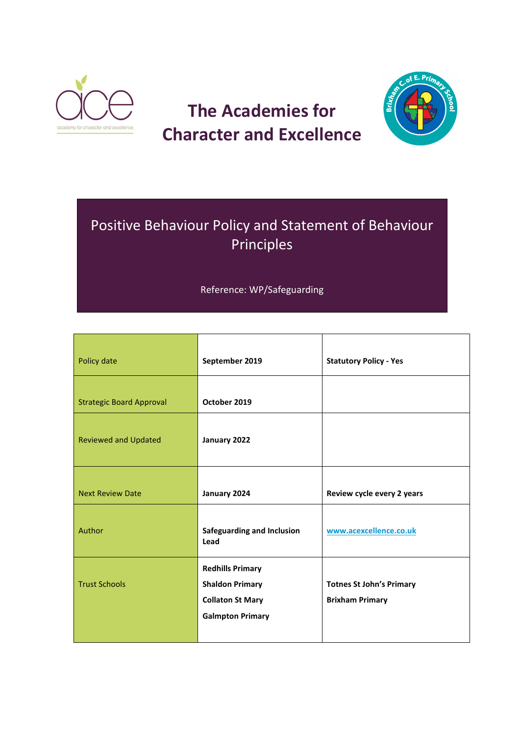

# **The Academies for Character and Excellence**



# Positive Behaviour Policy and Statement of Behaviour Principles

## Reference: WP/Safeguarding

| Policy date                     | September 2019                                                                                          | <b>Statutory Policy - Yes</b>                             |
|---------------------------------|---------------------------------------------------------------------------------------------------------|-----------------------------------------------------------|
| <b>Strategic Board Approval</b> | October 2019                                                                                            |                                                           |
| <b>Reviewed and Updated</b>     | January 2022                                                                                            |                                                           |
| <b>Next Review Date</b>         | January 2024                                                                                            | Review cycle every 2 years                                |
| Author                          | <b>Safeguarding and Inclusion</b><br>Lead                                                               | www.acexcellence.co.uk                                    |
| <b>Trust Schools</b>            | <b>Redhills Primary</b><br><b>Shaldon Primary</b><br><b>Collaton St Mary</b><br><b>Galmpton Primary</b> | <b>Totnes St John's Primary</b><br><b>Brixham Primary</b> |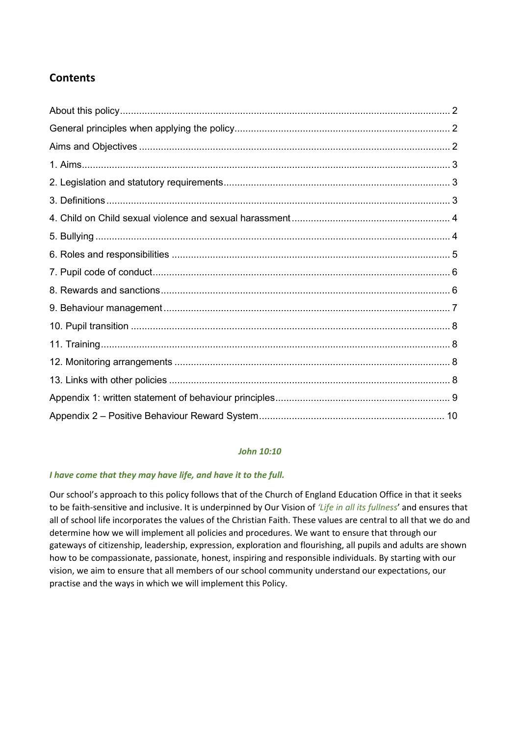## **Contents**

## *John 10:10*

## *I have come that they may have life, and have it to the full.*

Our school's approach to this policy follows that of the Church of England Education Office in that it seeks to be faith-sensitive and inclusive. It is underpinned by Our Vision of *'Life in all its fullness*' and ensures that all of school life incorporates the values of the Christian Faith. These values are central to all that we do and determine how we will implement all policies and procedures. We want to ensure that through our gateways of citizenship, leadership, expression, exploration and flourishing, all pupils and adults are shown how to be compassionate, passionate, honest, inspiring and responsible individuals. By starting with our vision, we aim to ensure that all members of our school community understand our expectations, our practise and the ways in which we will implement this Policy.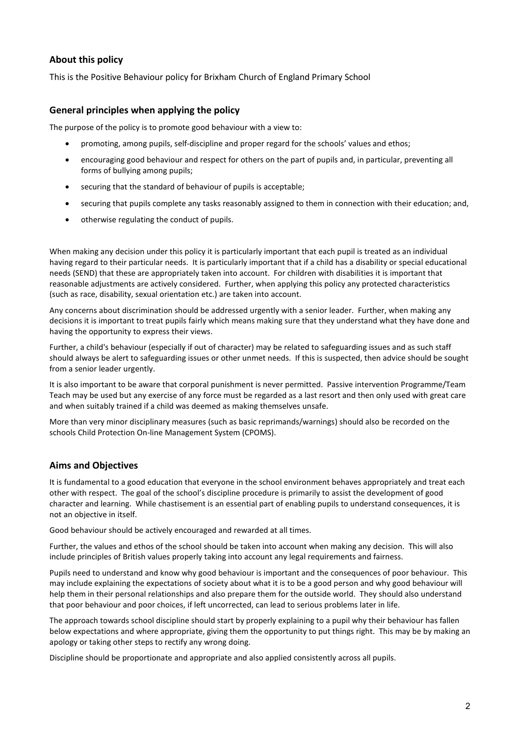## **About this policy**

This is the Positive Behaviour policy for Brixham Church of England Primary School

## **General principles when applying the policy**

The purpose of the policy is to promote good behaviour with a view to:

- promoting, among pupils, self-discipline and proper regard for the schools' values and ethos;
- encouraging good behaviour and respect for others on the part of pupils and, in particular, preventing all forms of bullying among pupils;
- securing that the standard of behaviour of pupils is acceptable;
- securing that pupils complete any tasks reasonably assigned to them in connection with their education; and,
- otherwise regulating the conduct of pupils.

When making any decision under this policy it is particularly important that each pupil is treated as an individual having regard to their particular needs. It is particularly important that if a child has a disability or special educational needs (SEND) that these are appropriately taken into account. For children with disabilities it is important that reasonable adjustments are actively considered. Further, when applying this policy any protected characteristics (such as race, disability, sexual orientation etc.) are taken into account.

Any concerns about discrimination should be addressed urgently with a senior leader. Further, when making any decisions it is important to treat pupils fairly which means making sure that they understand what they have done and having the opportunity to express their views.

Further, a child's behaviour (especially if out of character) may be related to safeguarding issues and as such staff should always be alert to safeguarding issues or other unmet needs. If this is suspected, then advice should be sought from a senior leader urgently.

It is also important to be aware that corporal punishment is never permitted. Passive intervention Programme/Team Teach may be used but any exercise of any force must be regarded as a last resort and then only used with great care and when suitably trained if a child was deemed as making themselves unsafe.

More than very minor disciplinary measures (such as basic reprimands/warnings) should also be recorded on the schools Child Protection On-line Management System (CPOMS).

## **Aims and Objectives**

It is fundamental to a good education that everyone in the school environment behaves appropriately and treat each other with respect. The goal of the school's discipline procedure is primarily to assist the development of good character and learning. While chastisement is an essential part of enabling pupils to understand consequences, it is not an objective in itself.

Good behaviour should be actively encouraged and rewarded at all times.

Further, the values and ethos of the school should be taken into account when making any decision. This will also include principles of British values properly taking into account any legal requirements and fairness.

Pupils need to understand and know why good behaviour is important and the consequences of poor behaviour. This may include explaining the expectations of society about what it is to be a good person and why good behaviour will help them in their personal relationships and also prepare them for the outside world. They should also understand that poor behaviour and poor choices, if left uncorrected, can lead to serious problems later in life.

The approach towards school discipline should start by properly explaining to a pupil why their behaviour has fallen below expectations and where appropriate, giving them the opportunity to put things right. This may be by making an apology or taking other steps to rectify any wrong doing.

Discipline should be proportionate and appropriate and also applied consistently across all pupils.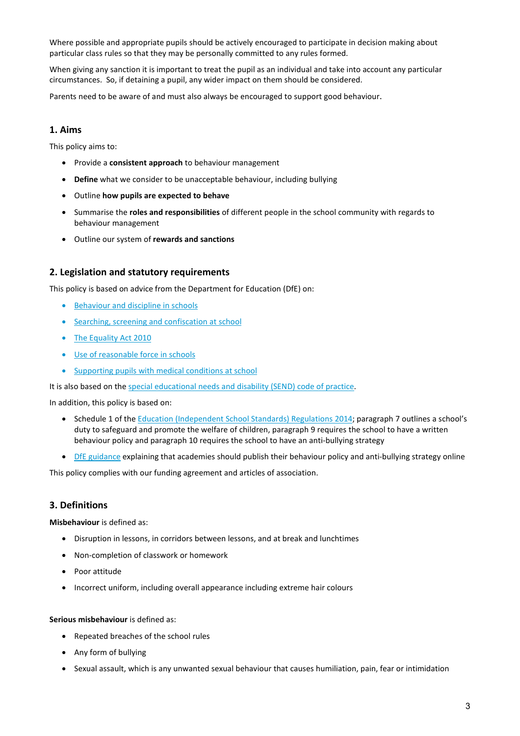Where possible and appropriate pupils should be actively encouraged to participate in decision making about particular class rules so that they may be personally committed to any rules formed.

When giving any sanction it is important to treat the pupil as an individual and take into account any particular circumstances. So, if detaining a pupil, any wider impact on them should be considered.

Parents need to be aware of and must also always be encouraged to support good behaviour.

## **1. Aims**

This policy aims to:

- Provide a **consistent approach** to behaviour management
- **Define** what we consider to be unacceptable behaviour, including bullying
- Outline **how pupils are expected to behave**
- Summarise the **roles and responsibilities** of different people in the school community with regards to behaviour management
- Outline our system of **rewards and sanctions**

## **2. Legislation and statutory requirements**

This policy is based on advice from the Department for Education (DfE) on:

- [Behaviour and discipline in schools](https://www.gov.uk/government/publications/behaviour-and-discipline-in-schools)
- [Searching, screening and confiscation at school](https://www.gov.uk/government/publications/searching-screening-and-confiscation)
- [The Equality Act 2010](https://www.gov.uk/government/publications/equality-act-2010-advice-for-schools)
- [Use of reasonable force in schools](https://www.gov.uk/government/publications/use-of-reasonable-force-in-schools)
- [Supporting pupils with medical conditions at school](https://www.gov.uk/government/publications/supporting-pupils-at-school-with-medical-conditions--3)

It is also based on the [special educational needs and disability \(SEND\) code of practice.](https://www.gov.uk/government/publications/send-code-of-practice-0-to-25)

In addition, this policy is based on:

- Schedule 1 of the [Education \(Independent School Standards\) Regulations 2014;](http://www.legislation.gov.uk/uksi/2014/3283/schedule/made) paragraph 7 outlines a school's duty to safeguard and promote the welfare of children, paragraph 9 requires the school to have a written behaviour policy and paragraph 10 requires the school to have an anti-bullying strategy
- [DfE guidance](https://www.gov.uk/guidance/what-academies-free-schools-and-colleges-should-publish-online) explaining that academies should publish their behaviour policy and anti-bullying strategy online

This policy complies with our funding agreement and articles of association.

## **3. Definitions**

**Misbehaviour** is defined as:

- Disruption in lessons, in corridors between lessons, and at break and lunchtimes
- Non-completion of classwork or homework
- Poor attitude
- Incorrect uniform, including overall appearance including extreme hair colours

#### **Serious misbehaviour** is defined as:

- Repeated breaches of the school rules
- Any form of bullying
- Sexual assault, which is any unwanted sexual behaviour that causes humiliation, pain, fear or intimidation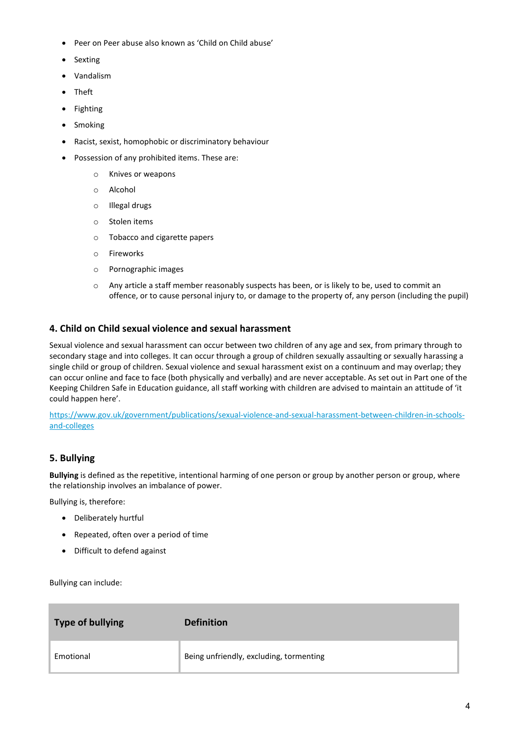- Peer on Peer abuse also known as 'Child on Child abuse'
- Sexting
- Vandalism
- Theft
- Fighting
- **Smoking**
- Racist, sexist, homophobic or discriminatory behaviour
- Possession of any prohibited items. These are:
	- o Knives or weapons
	- o Alcohol
	- o Illegal drugs
	- o Stolen items
	- o Tobacco and cigarette papers
	- o Fireworks
	- o Pornographic images
	- o Any article a staff member reasonably suspects has been, or is likely to be, used to commit an offence, or to cause personal injury to, or damage to the property of, any person (including the pupil)

## **4. Child on Child sexual violence and sexual harassment**

Sexual violence and sexual harassment can occur between two children of any age and sex, from primary through to secondary stage and into colleges. It can occur through a group of children sexually assaulting or sexually harassing a single child or group of children. Sexual violence and sexual harassment exist on a continuum and may overlap; they can occur online and face to face (both physically and verbally) and are never acceptable. As set out in Part one of the Keeping Children Safe in Education guidance, all staff working with children are advised to maintain an attitude of 'it could happen here'.

[https://www.gov.uk/government/publications/sexual-violence-and-sexual-harassment-between-children-in-schools](https://www.gov.uk/government/publications/sexual-violence-and-sexual-harassment-between-children-in-schools-and-colleges)[and-colleges](https://www.gov.uk/government/publications/sexual-violence-and-sexual-harassment-between-children-in-schools-and-colleges)

## **5. Bullying**

**Bullying** is defined as the repetitive, intentional harming of one person or group by another person or group, where the relationship involves an imbalance of power.

Bullying is, therefore:

- Deliberately hurtful
- Repeated, often over a period of time
- Difficult to defend against

Bullying can include:

| Type of bullying | <b>Definition</b>                       |
|------------------|-----------------------------------------|
| Emotional        | Being unfriendly, excluding, tormenting |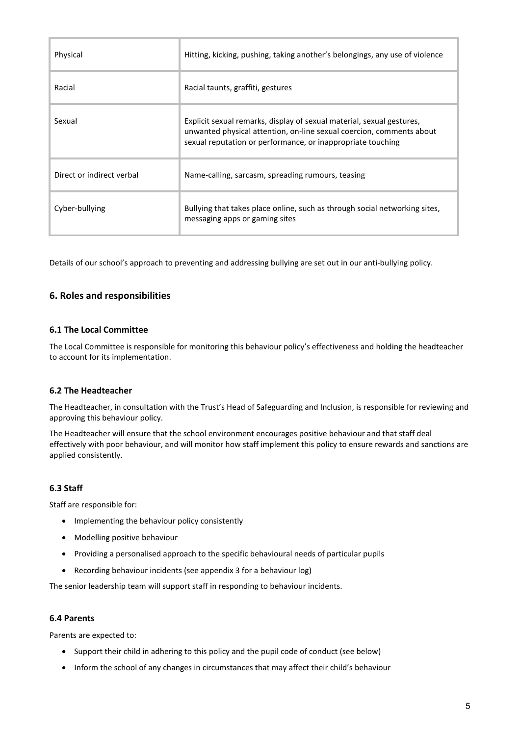| Physical                  | Hitting, kicking, pushing, taking another's belongings, any use of violence                                                                                                                                  |
|---------------------------|--------------------------------------------------------------------------------------------------------------------------------------------------------------------------------------------------------------|
| Racial                    | Racial taunts, graffiti, gestures                                                                                                                                                                            |
| Sexual                    | Explicit sexual remarks, display of sexual material, sexual gestures,<br>unwanted physical attention, on-line sexual coercion, comments about<br>sexual reputation or performance, or inappropriate touching |
| Direct or indirect verbal | Name-calling, sarcasm, spreading rumours, teasing                                                                                                                                                            |
| Cyber-bullying            | Bullying that takes place online, such as through social networking sites,<br>messaging apps or gaming sites                                                                                                 |

Details of our school's approach to preventing and addressing bullying are set out in our anti-bullying policy.

## **6. Roles and responsibilities**

#### **6.1 The Local Committee**

The Local Committee is responsible for monitoring this behaviour policy's effectiveness and holding the headteacher to account for its implementation.

#### **6.2 The Headteacher**

The Headteacher, in consultation with the Trust's Head of Safeguarding and Inclusion, is responsible for reviewing and approving this behaviour policy.

The Headteacher will ensure that the school environment encourages positive behaviour and that staff deal effectively with poor behaviour, and will monitor how staff implement this policy to ensure rewards and sanctions are applied consistently.

## **6.3 Staff**

Staff are responsible for:

- Implementing the behaviour policy consistently
- Modelling positive behaviour
- Providing a personalised approach to the specific behavioural needs of particular pupils
- Recording behaviour incidents (see appendix 3 for a behaviour log)

The senior leadership team will support staff in responding to behaviour incidents.

#### **6.4 Parents**

Parents are expected to:

- Support their child in adhering to this policy and the pupil code of conduct (see below)
- Inform the school of any changes in circumstances that may affect their child's behaviour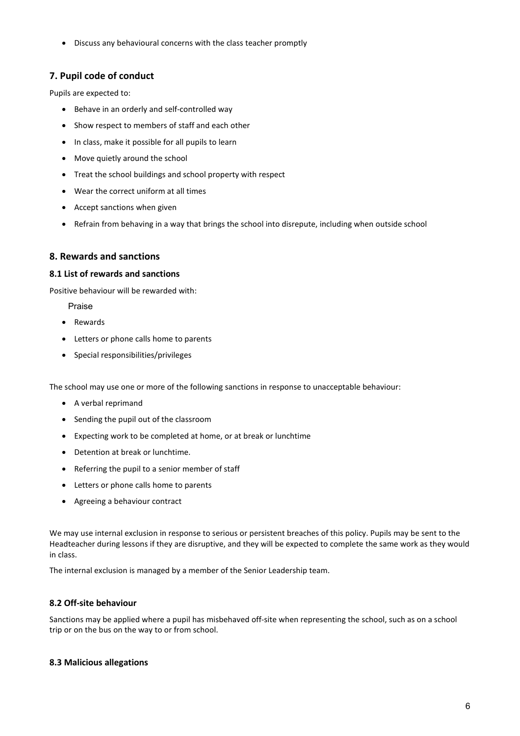• Discuss any behavioural concerns with the class teacher promptly

## **7. Pupil code of conduct**

Pupils are expected to:

- Behave in an orderly and self-controlled way
- Show respect to members of staff and each other
- In class, make it possible for all pupils to learn
- Move quietly around the school
- Treat the school buildings and school property with respect
- Wear the correct uniform at all times
- Accept sanctions when given
- Refrain from behaving in a way that brings the school into disrepute, including when outside school

## **8. Rewards and sanctions**

#### **8.1 List of rewards and sanctions**

Positive behaviour will be rewarded with:

Praise

- Rewards
- Letters or phone calls home to parents
- Special responsibilities/privileges

The school may use one or more of the following sanctions in response to unacceptable behaviour:

- A verbal reprimand
- Sending the pupil out of the classroom
- Expecting work to be completed at home, or at break or lunchtime
- Detention at break or lunchtime.
- Referring the pupil to a senior member of staff
- Letters or phone calls home to parents
- Agreeing a behaviour contract

We may use internal exclusion in response to serious or persistent breaches of this policy. Pupils may be sent to the Headteacher during lessons if they are disruptive, and they will be expected to complete the same work as they would in class.

The internal exclusion is managed by a member of the Senior Leadership team.

## **8.2 Off-site behaviour**

Sanctions may be applied where a pupil has misbehaved off-site when representing the school, such as on a school trip or on the bus on the way to or from school.

## **8.3 Malicious allegations**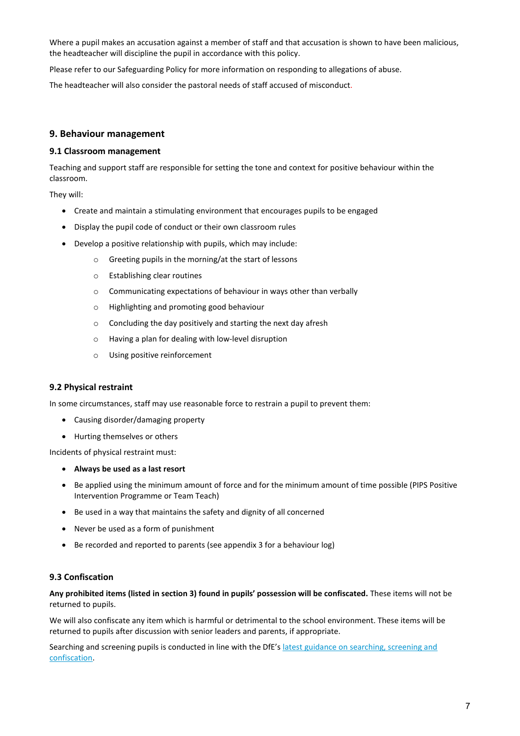Where a pupil makes an accusation against a member of staff and that accusation is shown to have been malicious, the headteacher will discipline the pupil in accordance with this policy.

Please refer to our Safeguarding Policy for more information on responding to allegations of abuse.

The headteacher will also consider the pastoral needs of staff accused of misconduct.

#### **9. Behaviour management**

#### **9.1 Classroom management**

Teaching and support staff are responsible for setting the tone and context for positive behaviour within the classroom.

They will:

- Create and maintain a stimulating environment that encourages pupils to be engaged
- Display the pupil code of conduct or their own classroom rules
- Develop a positive relationship with pupils, which may include:
	- o Greeting pupils in the morning/at the start of lessons
	- o Establishing clear routines
	- o Communicating expectations of behaviour in ways other than verbally
	- o Highlighting and promoting good behaviour
	- o Concluding the day positively and starting the next day afresh
	- o Having a plan for dealing with low-level disruption
	- o Using positive reinforcement

#### **9.2 Physical restraint**

In some circumstances, staff may use reasonable force to restrain a pupil to prevent them:

- Causing disorder/damaging property
- Hurting themselves or others

Incidents of physical restraint must:

- **Always be used as a last resort**
- Be applied using the minimum amount of force and for the minimum amount of time possible (PIPS Positive Intervention Programme or Team Teach)
- Be used in a way that maintains the safety and dignity of all concerned
- Never be used as a form of punishment
- Be recorded and reported to parents (see appendix 3 for a behaviour log)

#### **9.3 Confiscation**

**Any prohibited items (listed in section 3) found in pupils' possession will be confiscated.** These items will not be returned to pupils.

We will also confiscate any item which is harmful or detrimental to the school environment. These items will be returned to pupils after discussion with senior leaders and parents, if appropriate.

Searching and screening pupils is conducted in line with the DfE'[s latest guidance on searching, screening and](https://www.gov.uk/government/publications/searching-screening-and-confiscation)  [confiscation.](https://www.gov.uk/government/publications/searching-screening-and-confiscation)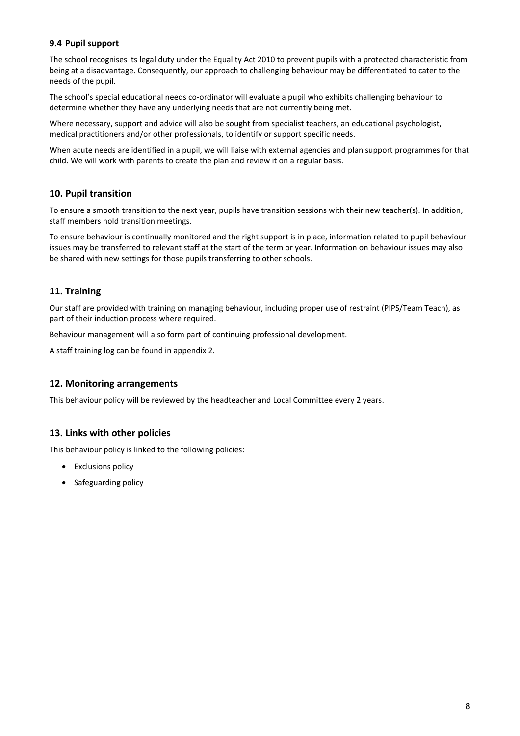## **9.4 Pupil support**

The school recognises its legal duty under the Equality Act 2010 to prevent pupils with a protected characteristic from being at a disadvantage. Consequently, our approach to challenging behaviour may be differentiated to cater to the needs of the pupil.

The school's special educational needs co-ordinator will evaluate a pupil who exhibits challenging behaviour to determine whether they have any underlying needs that are not currently being met.

Where necessary, support and advice will also be sought from specialist teachers, an educational psychologist, medical practitioners and/or other professionals, to identify or support specific needs.

When acute needs are identified in a pupil, we will liaise with external agencies and plan support programmes for that child. We will work with parents to create the plan and review it on a regular basis.

## **10. Pupil transition**

To ensure a smooth transition to the next year, pupils have transition sessions with their new teacher(s). In addition, staff members hold transition meetings.

To ensure behaviour is continually monitored and the right support is in place, information related to pupil behaviour issues may be transferred to relevant staff at the start of the term or year. Information on behaviour issues may also be shared with new settings for those pupils transferring to other schools.

## **11. Training**

Our staff are provided with training on managing behaviour, including proper use of restraint (PIPS/Team Teach), as part of their induction process where required.

Behaviour management will also form part of continuing professional development.

A staff training log can be found in appendix 2.

## **12. Monitoring arrangements**

This behaviour policy will be reviewed by the headteacher and Local Committee every 2 years.

## **13. Links with other policies**

This behaviour policy is linked to the following policies:

- Exclusions policy
- Safeguarding policy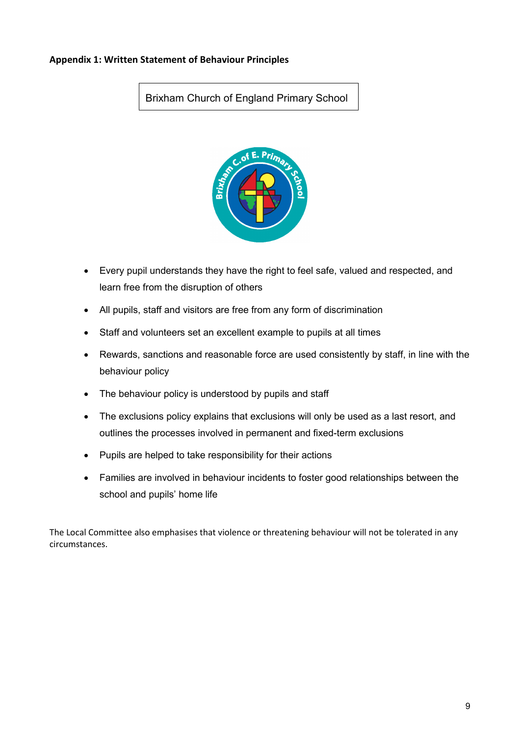## **Appendix 1: Written Statement of Behaviour Principles**

# Brixham Church of England Primary School



- Every pupil understands they have the right to feel safe, valued and respected, and learn free from the disruption of others
- All pupils, staff and visitors are free from any form of discrimination
- Staff and volunteers set an excellent example to pupils at all times
- Rewards, sanctions and reasonable force are used consistently by staff, in line with the behaviour policy
- The behaviour policy is understood by pupils and staff
- The exclusions policy explains that exclusions will only be used as a last resort, and outlines the processes involved in permanent and fixed-term exclusions
- Pupils are helped to take responsibility for their actions
- Families are involved in behaviour incidents to foster good relationships between the school and pupils' home life

The Local Committee also emphasises that violence or threatening behaviour will not be tolerated in any circumstances.